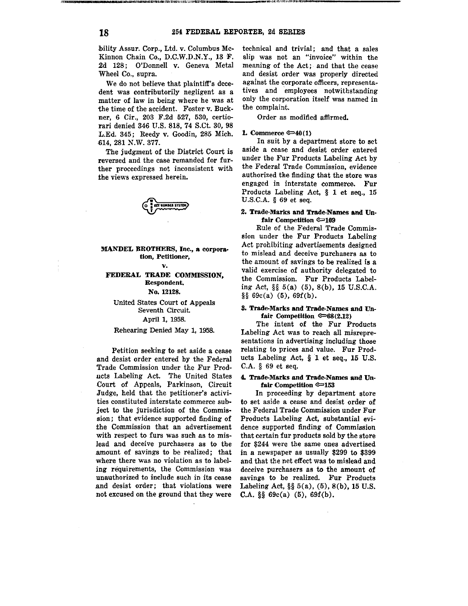bility Assur. Corp., Ltd. v. Columbus Mc-Kinnon Chain Co., D.C.W.D.N.Y., 13 F. 2d 128; O'Donnell v. Geneva Metal Wheel Co., supra.

We do not believe that plaintiff's decedent was contributorily negligent as a **matter of law in being where he was at**  the time of the accident. Foster v. Buck• ner, 6 Cir., 203 F.2d 527, 530, certiorari denied 346 U.S. 818, 74 S.Ct. 30, 98 L.Ed. 345; Reedy v. Goodin, 285 Mich. 614, 281 N.W. 377.

The judgment of the District Court is **reversed and the case remanded for fur**ther proceedings not inconsistent with **the views expressed herein.** 



### **MANDEL BROTHERS,** Inc., **a corporation, Petitioner,**

## **v. FEDERAL TRADE COMMISSION, Respondent.**

No. 12128.

United States Court of Appeals **Seventh Circuit.**  April 1, 1958.

### Rehearing Denied May 1, 1958.

**Petition seeking to set aside a cease**  and desist order entered by the Federal Trade Commission under the Fur Prod· nets Labeling Act. The United States Court of Appeals, Parkinson, Circuit Judge, held that the petitioner's activi• **ties constituted interstate commerce sub**ject to the jurisdiction of the Commis• **sion; that evidence supported finding of**  the Commission that an advertisement **with respect to furs was such as to mis**lead and deceive purchasers as to the **.amount of savings to be realized; that where** there was no violation as to label**ing requirements, the Commission was unauthorized to include such in its cease .and desist order; that violations were**  not excused on the ground that they were technical and trivial; and that a sales **slip was not an "invoice" within the**  meaning of the Act; and that the cease and desist order was properly directed **against the corporate officers, representa~**  tives and employees notwithstanding **only the corporation itself was named in**  the complaint.

Order as modified affirmed.

#### **L Commerce €=>40(1)**

In suit by a department store to set **aside a cease and desist order entered**  under the Fur Products Labeling Act by **the Federal Trade Commission, evidence**  authorized the finding that the store was engaged in interstate commerce. Fur Products Labeling Act, § 1 et seq., 15 U.S.C.A. § 69 et seq.

# **2. Trade-Marks and Trade-Names and Un• fair Competition €=>109**

Rule of the Federal Trade Commission under the Fur Products Labeling Act prohibiting advertisements designed **to mislead and deceive purchasers as to the amount of savings to be realized is a**  valid exercise of authority delegated to the Commission. Fur Products Labeling Act,  $\S$  $(5)(a)$   $(5)$ ,  $8(b)$ ,  $15$  U.S.C.A.  $\S$ § 69c(a) (5), 69f(b).

# **S. Trade-Marks and Trade-Names and Unfair Competition**  $\mathfrak{S}(2.12)$

The intent of the Fur Products Labeling Act was to reach all misrepre• **sentations in advertising including those**  relating to prices and value. Fur Products Labeling Act, § 1 et seq., 15 U.S. C.A. § 69 et seq.

# **4. Trade-Marks and Trade-Names and Unfair** Competition €=>153

In proceeding by department store **to set aside a cease and desist order of**  the Federal Trade Commission under Fur Products Labeling Act, substantial evi• dence supported finding of Commission that certain fur products sold by the store for \$244 were the same ones advertised in a newspaper as usually \$299 to \$399 and that the net effect was to mislead and **deceive purchasers as to the amount of**  savings to be realized. Fur Products Labeling Act,  $\S$  $\S$  5(a), (5), 8(b), 15 U.S. C.A. §§ 69c(a) (6), 69f(b).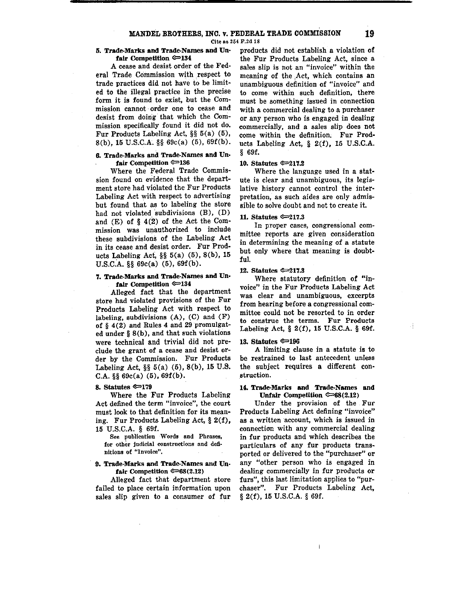# MANDEL BROTHERS, INC. v. FEDERAL TRADE COMMISSION **19**

**Cite as 254 F.2d 18** 

### **5. Trade.Marks and Trade-Names and Un• fair** Competition ®=>134

A cease and desist order of the Federal Trade Commission with respect to trade practices did not have to be limited to the illegal practice in the precise form it is found to exist, but the Com**mission cannot• order one to cease and**  desist from doing that which the Commission specifically found it did not do. Fur Products Labeling Act, §§ 6(a) (6), 8(b), 16 U.S.C.A. §§ 69c(a) (5), 69f(b).

# **6. Trade-Marks and Trade-Names and Un• fair** Competition ®=>136

Where the Federal Trade Commission found on evidence that the department store had violated the Fur Products Labeling Act with respect to advertising but found that as to labeling the store had not violated subdivisions (B), (D) and (E) of § **4(2)** of the Act the Com**mission was unauthorized to include**  these subdivisions of the Labeling Act in its cease and desist order. Fur Products Labeling Act, §§ 5(a) (5), 8(b), 15 U.S.C.A. §§ 69c(a) (6), 69f(b).

# **7. Trade-Marks and Trade-Names and Un• fair Competition ®=>134**

Alleged fact that the department store had violated provisions of the Fur Products Labeling Act with respect to labeling, subdivisions  $(A)$ ,  $(C)$  and  $(F)$ of § 4(2) and Rules 4 and 29 promulgated under § 8(b), and that such violations were technical and trivial did not preclude the grant of a cease and desist order by the Commission. Fur Products Labeling Act, §§ 5(a) (5), S(b), 15 U.S. C.A.  $\S$  $\$  69c(a) (5), 69f(b).

## **8. Statntes ®=>179**

Where the Fur Products Labeling **Act defined the term "invoice", the court**  must look to that definition for its meaning. Fur Products Labeling Act, § 2(f), 15 U.S.C.A. § 69f.

See publication Words and Phrases, for other judicial constructions and definitions of "Invoice".

# **9. Trade-Marks and Trade-Names and Unfair Competition ®=>68(2.12)**

Alleged fact that department store failed to place certain information upon **sales slip given to a consumer of fur**  products did not establish a violation of the Fur Products Labeling Act, since a **sales slip is not an "invoice" within the**  meaning of the ,Act, which contains an **unambiguous definition of "invoice" and to come within such definition, there must be something issued in connection with a commercial dealing to a purchaser or** any person who is engaged in dealing **commercially, and a sales slip does not**  come within the definition, Fur Products Labeling Act,  $\S$  2(f), 15 U.S.C.A. § 69f.

### **10. Statntes ®=>211.2**

Where the language used in a stat**ute is clear and unambiguous, its legis**lative history cannot control the inter**pretation, as such aides are only admis**sible to solve doubt and not to create it.

#### **11, Statntes ®=>217.3**

**In proper cases, congressional committee reports are given consideration**  in determining the meaning of a statute but only where that meaning is doubtful.

#### **12, Statntes ®=>217.3**

Where statutory definition of "in**voice" in the Fur Products Labeling Act was clear and unambiguous, excerpts from hearing before a congressional com**mittee could not be resorted to in order **to construe the terms. Fur Products**  Labeling Act, § 2(f), 16 U.S.C.A. § 69f.

### **13. Statutes © 196**

**A limiting clause in a statute is to**  be restrained to last antecedent unless the subject requires **a** different con**struction.** 

### **14. Trade-Marks and Trade-Names and Unfair Competition © 68(2.12)**

**Under the provision of the Fur Products Labeling Act defining "invoice" as a written ·account, which is issued in connection with any commercial dealing**  in fur products and which describes the **particulars of any fur products transported or delivered to the "purchaser" or any "other person who is engaged in**  dealing commercially in fur products or **furs", this last limitation applies to "purchaser". Fur Products Labeling Act,**  § 2(f), 15 U.S.C.A. § 69f.

İ.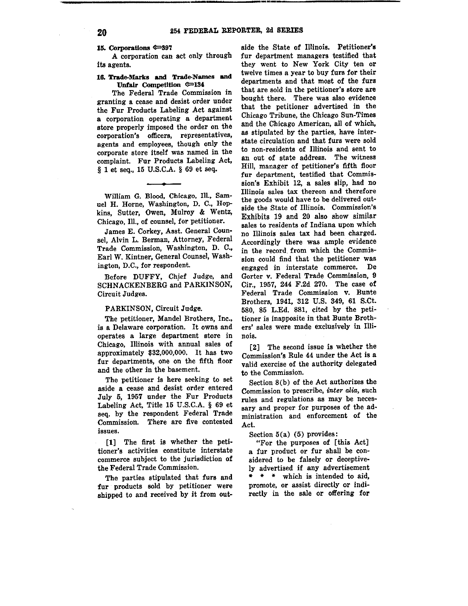15. Corporations **\***397

A corporation can act only through its agents.

## 18. Trade-Marks **and** Trade-Names **and Unfair** Competition **¢=>184**

The Federal Trade Commission in **granting a cease and desist order under**  the Fur Products Labeling Act against **a corporation operating a department**  store properly imposed the order on the **corporation's officers, representatives,**  agents and employees, though only the corporate store itself was named in the complaint. Fur Products Labeling Act, § 1 et seq., 15 U.S.C.A. § 69 et seq.

William G. Blood, Chicago, Ill., Sam**uel H. Horne, Washington, D. C., Hop**kins, Sutter, Owen, Mulroy & Wentz, **Chicago, Ill., of counsel, for petitioner.** 

James E. Corkey, Asst. General Counsel, Alvin L. Berman, Attorney, Federal **Trade Commission, Washington, D. C.,**  Earl W. Kintner, General Counsel, Wash**ington, D.C., for respondent.** 

Before DUFFY, Chief Judge, and SCHNACKENBERG and PARKINSON, Circuit Judges.

# PARKINSON, Circuit Judge,

The petitioner, Mandel Brothers, Inc., is a Delaware corporation. It owns and operates a large department store in Chicago, Illinois with annual sales of approximately \$32,000,000. It has two fur departments, one on the fifth floor and the other in the basement.

The petitioner is here seeking to set aside a cease and desist order entered July 5, 1957 under the Fur Products Labeling Act, Title 15 U.S.C.A. § 69 et seq. by the respondent Federal Trade Commission. There are five contested **issues.** 

[1] The first is whether the peti**tioner's activities constitute interstate**  commerce subject to the jurisdiction of the Federal Trade Commission.

The parties stipulated that furs and fur products sold by petitioner were shipped to and received by it from outside the State of Illinois. Petitioner's fur department managers testified that they went to New York City ten or twelve times a year to buy furs for their departments and that most of the furs **that are sold in the petitioner's store are**  bought there. There was also evidence that the petitioner advertised in the Chicago Tribune, the Chicago Sun-Times and the Chicago American, all of which, as stipulated by the parties, have interstate circulation and that furs were sold **to non-residents of Illinois and sent to**  an out of state address. The witness Hill, manager of petitioner's fifth floor fur department, testified that Commission's Exhibit 12, a sales slip, had no **Illinois sales tax thereon and therefore**  the goods would have to be delivered out**side the State of Illinois. Commission's**  Exhibits 19 and 20 also show similar **sales to residents of Indiana upon which**  no Illinois sales tax had been charged. Accordingly there was ample evidence in the record from which the Commission could find that the petitioner was **engaged in interstate commerce. De**  Gorter v. Federal Trade Commission, 9 Cir., 1957, 244 F.2d 270. The case of **Federal Trade Commission v. Bunte**  Brothers, 1941, 312 U.S. 349, 61 S.Ct. 580, 85 L.Ed. 881, cited by the petitioner is inapposite in that Bunte Brothers' sales were made exclusively in Illi**nois.** 

[2] The second issue is whether the Commission's Rule 44 under the Act is a valid exercise of the authority delegated **to the Commission.** 

Section 8(b) of the Act authorizes the **Commission to prescribe,** *inter alia,* **such rules and regulations as may be neces•**  sary and proper for purposes of the ad**ministration and enforcement of the**  Act.

Section 5(a) (5) provides:

"For the purposes of [ this Act] a fur product or fur shall be considered to be falsely or deceptively advertised if any advertisement • \* \* which is intended to aid, promote, or assist directly or indirectly in the sale or offering for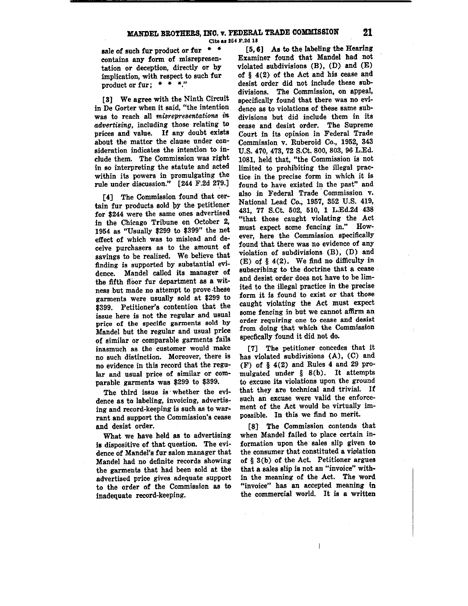Cite as 254 F.2d 18

sale of such fur product or fur  $*$   $*$ contains any form of misrepresentation or deception, directly or by implication, with respect to such fur product or fur;  $* * *$ 

[3] We agree with the Ninth Circuit **in De Gorter when it eajd, "the intention**  was to reach all *misrepresentations in advertising,* including those relating to prices and value. If any doubt exists about the matter the clause under consideration indicates the intention to include them. The Commission was right in so interpreting the statute and acted within its powers in promulgating the rule under discussion." [244 F.2d 279.)

[4] The Commission found that certain fur products sold by the petitioner for \$244 were the same ones advertised in the Chicago Tribune on October 2, 1954 as "Usually \$299 to \$399" the net effect of which was to mislead and deceive purchasers as to the amount of savings to be realized. We believe that finding is supported by substantial evidence. Mandel called its manager of the fifth floor fur department as a witness but made no attempt to prove .these garments were usually sold at \$299 to \$399. Petitioner's contention that the issue here is not the regular and usual **price of the specific garments sold by**  Mandel but the regular and usual price of similar or comparable garments fails **inasmuch as the customer would make no such distinction. Moreover, there is**  no evidence in this record that the regu**lar and usual price of similar or com**parable garments was \$299 to \$399.

The third issue is whether the evi**dence as to labeling, invoicing, advertis**ing and record-keeping is such as to war**rant and support the Commission's cease**  and desist order.

What we have held as to advertising **is** dispositive of that question. The evidence of Mandel's fur salon manager that Mandel had no definite records showing the garments that had been sold at the advertised price gives adequate support to the order of the Commission as to inadequate record-keeping,

[5, 6] As to the labeling the Hearing Examiner found that Mandel had not violated subdivisions (B), (D) and (E) of § 4(2) of the Act and his cease and desist order did not include these subdivisions. The Commission, on appeal, specifically found that there was no evidence as to violations of these same subdivisions but did include them in its cease and desist order. The Supreme Court in its opinion in Federal Trade Commission v. Ruberoid Co., 1952, 343 U.S. 470, 473, 72 S.Ct. 800, 803, 96 L.Ed. 1081, held that, "the Commission is not limited to prohibiting the illegal prac**tice in the precise form in which it is**  found to have existed in the past" and also in Federal Trade Commission v. National Lead Co., 1957, 352 U.S. 419, 431, 77 S.Ct. 502, 510, 1 L.Ed.2d 438 "that those caught violating the Act **must expect some fencing in." However, here the Commission specifically**  found that there was no evidence of any violation of subdivisions (B), (D) and  $(E)$  of  $\S$  4(2). We find no difficulty in subscribing to the doctrine that a cease and desist order does not have to be limited to the illegal practice in the precise form it is found to exist or that those caught violating the Act must expect some fencing in but we cannot affirm an **order requiring one to cease and desist**  from doing that which the Commission specfically found it did not do.

[7] The petitioner concedes that it has violated subdivisions (A), (C) and (F) of  $\S$  4(2) and Rules 4 and 29 promulgated under § 8(b). It attempts to excuse its violations upon the ground that they are technical and trivial. If such an excuse were valid the enforcement of the Act would be virtuaily impossible. In this we find no merit.

[8] The Commission contends that when Mandel failed to place certain information upon the sales slip given to the consumer that constituted a violation of § 3(b) of the Act. Petitioner argues **that a sales slip is not an °invoice" with•**  in the meaning of the Act. The word **"invoice" has an accepted meaning in**  the commercial world. It **is a** written

 $\mathbb{I}$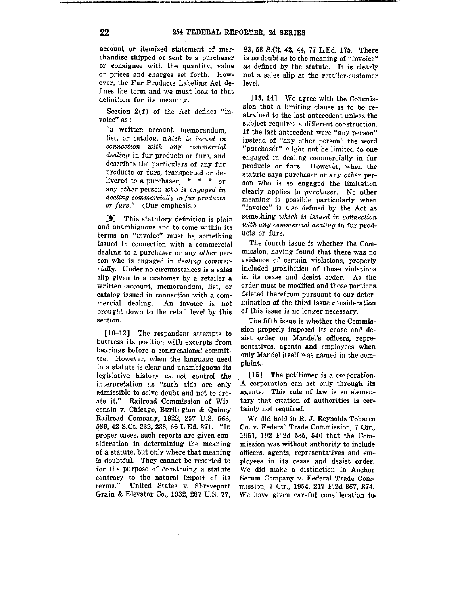account or itemized statement of mer• chandise shipped or sent to a purchaser or consignee with the quantity, value or prices and charges set forth. How• ever, the Fur Products Labeling Act de· fines the term and we must look to that definition for its meaning.

Section 2(f) of the Act defines "in• voice" as:

"a written account, memorandum, list, or catalog, *which is issued in connection* with *any commercial*  dealing in fur products or furs, and describes the particulars of any fur products or furs, transported or delivered to a purchaser, \* \* \* or any *other* person *who* is *engaged in*  dealing commercially in fur products *or furs."* (Our emphasis.)

[9] This statutory definition is plain and unambiguous and to come within its terms an "invoice" must be something issued in connection with a commercial dealing to a purchaser or any *other* person who is engaged in *dealing commercially.* Under no circumstances is a sales slip given to a customer by a retailer a written account, memorandum, 1ist, or catalog issued in connection with a commercial dealing. An invoice is not brought down to the retail level by this section.

(10-12] The respondent attempts to buttress its position with excerpts from hearings before a congressional committee. However, when the language used in a statute is clear and unambiguous its legislative history cannot control the interpretation as "such aids are only admissible to solve doubt and not to ere· ate it." Railroad Commission of Wisconsin v. Chicago, Burlington & Quincy Railroad Company, 1922, 257 U.S. 563, 589, 42 S.Ct. 232, 238, 66 L.Ed. 371. "In proper cases, such reports are given consideration in determining the meaning of a statute, but only where that meaning is doubtful. They cannot be resorted to for the purpose of construing a statute contrary to the natural import of its terms." United States v. Shreveport Grain & Elevator Co., 1932, 287 U.S. 77,

83, 53 S.Ct. 42, 44, 77 L.Ed. 175. There is no doubt as to the meaning of "invoice" as defined by the statute. It is clearly not a sales slip at the retailer-customer level.

[13, 14] We agree with the Commission that a 1imiting clause is to be restrained to the last antecedent unless the subject requires a different construction. If the last antecedent were "any person" instead of "any other person" the word "purchaser" might not be limited to one engaged in dealing commercially in **fur**  products or furs. However, when the statute says purchaser or any *other* person who is so engaged the limitation clearly applies to *purchaser.* No other meaning is possible particularly when "invoice" is also defined by the Act as something *which is issued in connection with any commercial dealing* in fur products or furs.

The fourth issue is whether the Commission, having found that there was no. evidence of certain violations, properly included prohibition of those violations in its cease and desist order. As the order must be modified and those portions. deleted therefrom pursuant to our determination of the third issue consideration of this issue is no longer necessary.

The fifth issue is whether the Commission properly imposed its cease and desist order on Mandel's officers, representatives, agents and employees when only Mandel itself was named in the com• plaint..

[15] The petitioner is a corporation. A corporation can act only through its agents. This rule of law is so elementary that citation of authorities is certainly not required.

We did hold in R. J. Reynolds Tobacco Co. v. Federal Trade Commission, 7 Cir., 1951, 192 F.2d 535, 540 that the Com• mission was without authority to include officers, agents, representatives and employees in its cease and desist order. We did make a distinction in Anchor Serum Company v. Federal Trade Com• mission, 7 Cir., 1954, 217 F.2d 867, 874. We have given careful consideration to